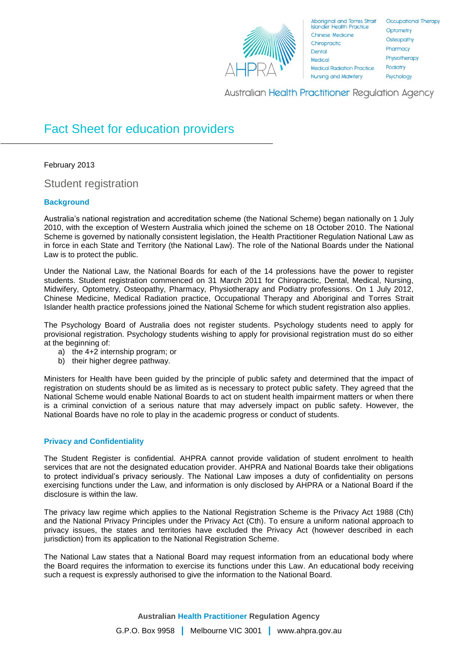

Aboriginal and Torres Strait<br>Islander Health Practice **Chinese Medicine** Chiropractic Dental Medical **Medical Radiation Practice Nursing and Midwifery** 

**Occupational Therapy** Optometry Osteopathy Pharmacy Physiotherapy Podiatry Psychology

**Australian Health Practitioner Regulation Agency** 

# Fact Sheet for education providers

February 2013

Student registration

# **Background**

Australia's national registration and accreditation scheme (the National Scheme) began nationally on 1 July 2010, with the exception of Western Australia which joined the scheme on 18 October 2010. The National Scheme is governed by nationally consistent legislation, the Health Practitioner Regulation National Law as in force in each State and Territory (the National Law). The role of the National Boards under the National Law is to protect the public.

Under the National Law, the National Boards for each of the 14 professions have the power to register students. Student registration commenced on 31 March 2011 for Chiropractic, Dental, Medical, Nursing, Midwifery, Optometry, Osteopathy, Pharmacy, Physiotherapy and Podiatry professions. On 1 July 2012, Chinese Medicine, Medical Radiation practice, Occupational Therapy and Aboriginal and Torres Strait Islander health practice professions joined the National Scheme for which student registration also applies.

The Psychology Board of Australia does not register students. Psychology students need to apply for provisional registration. Psychology students wishing to apply for provisional registration must do so either at the beginning of:

- a) the 4+2 internship program; or
- b) their higher degree pathway.

Ministers for Health have been guided by the principle of public safety and determined that the impact of registration on students should be as limited as is necessary to protect public safety. They agreed that the National Scheme would enable National Boards to act on student health impairment matters or when there is a criminal conviction of a serious nature that may adversely impact on public safety. However, the National Boards have no role to play in the academic progress or conduct of students.

# **Privacy and Confidentiality**

The Student Register is confidential. AHPRA cannot provide validation of student enrolment to health services that are not the designated education provider. AHPRA and National Boards take their obligations to protect individual's privacy seriously. The National Law imposes a duty of confidentiality on persons exercising functions under the Law, and information is only disclosed by AHPRA or a National Board if the disclosure is within the law.

The privacy law regime which applies to the National Registration Scheme is the Privacy Act 1988 (Cth) and the National Privacy Principles under the Privacy Act (Cth). To ensure a uniform national approach to privacy issues, the states and territories have excluded the Privacy Act (however described in each jurisdiction) from its application to the National Registration Scheme.

The National Law states that a National Board may request information from an educational body where the Board requires the information to exercise its functions under this Law. An educational body receiving such a request is expressly authorised to give the information to the National Board.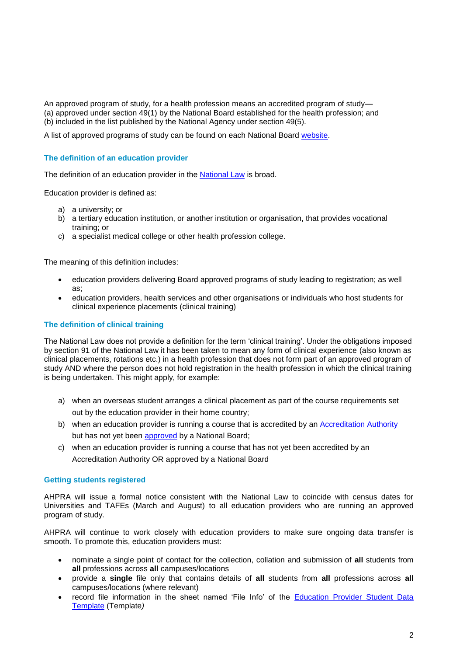An approved program of study, for a health profession means an accredited program of study— (a) approved under section 49(1) by the National Board established for the health profession; and (b) included in the list published by the National Agency under section 49(5).

A list of approved programs of study can be found on each National Board [website.](http://www.ahpra.gov.au/Education/Approved-Programs-of-Study.aspx)

### **The definition of an education provider**

The definition of an education provider in the [National Law](http://www.ahpra.gov.au/Legislation-and-Publications/Legislation.aspx) is broad.

Education provider is defined as:

- a) a university; or
- b) a tertiary education institution, or another institution or organisation, that provides vocational training; or
- c) a specialist medical college or other health profession college.

The meaning of this definition includes:

- education providers delivering Board approved programs of study leading to registration; as well as;
- education providers, health services and other organisations or individuals who host students for clinical experience placements (clinical training)

## **The definition of clinical training**

The National Law does not provide a definition for the term 'clinical training'. Under the obligations imposed by section 91 of the National Law it has been taken to mean any form of clinical experience (also known as clinical placements, rotations etc.) in a health profession that does not form part of an approved program of study AND where the person does not hold registration in the health profession in which the clinical training is being undertaken. This might apply, for example:

- a) when an overseas student arranges a clinical placement as part of the course requirements set out by the education provider in their home country;
- b) when an education provider is running a course that is accredited by an [Accreditation Authority](http://www.ahpra.gov.au/Education/Accreditation-Authorities.aspx) but has not yet been [approved](http://www.ahpra.gov.au/Education/Approved-Programs-of-Study.aspx) by a National Board;
- c) when an education provider is running a course that has not yet been accredited by an Accreditation Authority OR approved by a National Board

## **Getting students registered**

AHPRA will issue a formal notice consistent with the National Law to coincide with census dates for Universities and TAFEs (March and August) to all education providers who are running an approved program of study.

AHPRA will continue to work closely with education providers to make sure ongoing data transfer is smooth. To promote this, education providers must:

- nominate a single point of contact for the collection, collation and submission of **all** students from **all** professions across **all** campuses/locations
- provide a **single** file only that contains details of **all** students from **all** professions across **all**  campuses/locations (where relevant)
- record file information in the sheet named 'File Info' of the [Education Provider Student Data](http://www.ahpra.gov.au/documents/default.aspx?record=WD11%2f4622&dbid=AP&chksum=F1%2fUAA6k8x%2br47wxkiGXyw%3d%3d)  [Template](http://www.ahpra.gov.au/documents/default.aspx?record=WD11%2f4622&dbid=AP&chksum=F1%2fUAA6k8x%2br47wxkiGXyw%3d%3d) (Template*)*